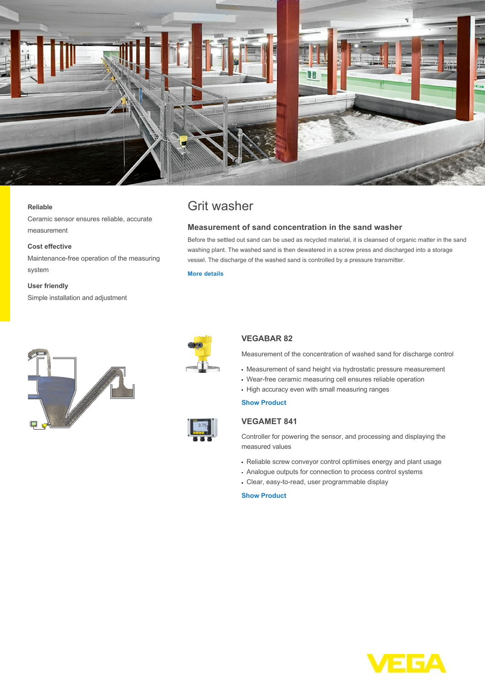

#### **Reliable**

Ceramic sensor ensures reliable, accurate measurement

#### **Cost effective**

Maintenance-free operation of the measuring system

#### **User friendly**

Simple installation and adjustment

# Grit washer

#### **Measurement of sand concentration in the sand washer**

Before the settled out sand can be used as recycled material, it is cleansed of organic matter in the sand washing plant. The washed sand is then dewatered in a screw press and discharged into a storage vessel. The discharge of the washed sand is controlled by a pressure transmitter.

# **[More details](http://localhost/en-us/industries/water-wastewater/wastewater-treatment/grit-washer)**





# **VEGABAR 82**

Measurement of the concentration of washed sand for discharge control

- Measurement of sand height via hydrostatic pressure measurement
- Wear-free ceramic measuring cell ensures reliable operation
- High accuracy even with small measuring ranges

#### **[Show Product](http://localhost/en-us/products/product-catalog/pressure/process-pressure/vegabar-82)**

### **VEGAMET 841**

Controller for powering the sensor, and processing and displaying the measured values

- Reliable screw conveyor control optimises energy and plant usage
- Analogue outputs for connection to process control systems
- Clear, easy-to-read, user programmable display

# **[Show Product](http://localhost/en-us/products/product-catalog/signal-conditioning/controllers/vegamet-841)**